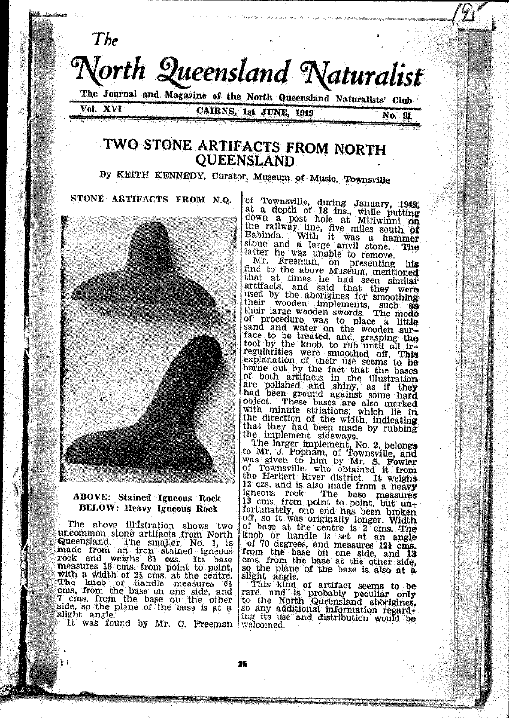

# **QUEENSLAND**

By KEITH KENNEDY, Curator, Museum of Music, Townsville

STONE ARTIFACTS FROM N.Q.



### **ABOVE:** Stained Igneous Rock **BELOW: Heavy Igneous Rock**

The above illustration shows two uncommon stone artifacts from North differentiation and the articles in the smaller, No. 1, is<br>made from an iron stained ignous<br>rock and weighs 81 ozs. Its base<br>measures 18 cms, from point to point,<br>with a width of 23 cms, at the centre.<br>The knob or handle m 7 cms, from the base on the other<br>side, so the plane of the base is at a slight angle.

It was found by Mr. C. Freeman welcomed.

of Townsville, during January, 1949,<br>at a depth of 18 ins., while putting<br>down a post hole at Miriwinni on the railway line, five miles south of Babinda. With it was a hammer stone and a large anyll stone. The latter he was unable to remove.

Mr. Freeman, on presenting his find to the above Museum, mentioned<br>that at times he had seen similar<br>artifacts, and said that they were<br>artifacts, and said that they were<br>used by the aborigines for smoothing<br>their wooden swords. The mode<br>their large woo expansion of the fact that the bases<br>of both artifacts in the illustration<br>are polished and shiny, as if they<br>had been ground against some hard<br>object. These bases are also marked<br>with minute strictions which lie in object. These bases are also marked<br>with minute striations, which lie in<br>the direction of the width, indicating<br>that they had been made by rubbing<br>the implement sideways.

the implement sideways.<br>The larger implement, No. 2, belongs<br>to Mr. J. Popham, of Townsville, and<br>was given to him by Mr. S. Fowler<br>of Townsville, who obtained it from<br>the Herbert River district. It weights 12 ozs. and is also made from a heavy re use measures in the base measures<br>13 cms. from point to point, but un-<br>fortunately, one end has been broken off, so it was originally longer. Width of base at the centre is 2 cms. The knob or handle is set at an angle of 70 degrees, and measures 121 cms. from the base on one side, and 13 cm. from the base at the other side, so the plane of the base is also at a

so the plane of the base is also at a sight angle.<br>This kind of artifact seems to be rare, and is probably peculiar only to the North Queensland abordines,<br>to the North Queensland abordines,<br>in so any additional informatio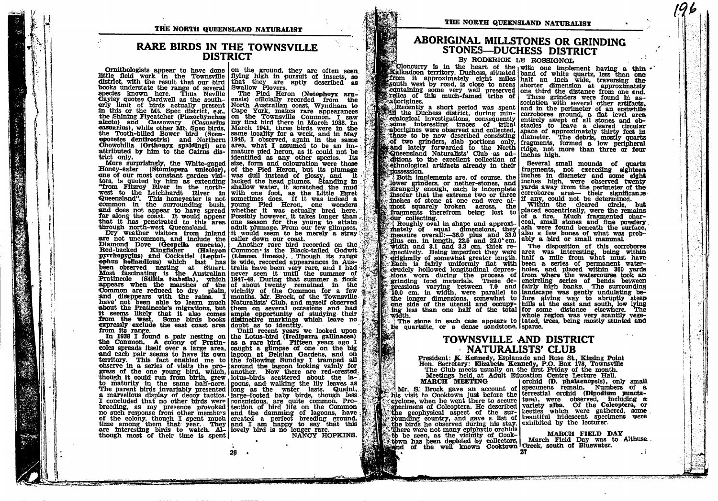THE NORTH QUEENSLAND NATURALIST

### **RARE BIRDS IN THE TOWNSVILLE DISTRICT**

books understate the range of several swallow Plovers.<br>species known here. Thus Neville The Pied Heron (Notophoyx aru-<br>Cayley quotes Cardwell as the south- ensis) officially recorded from the the Tooth-billed Bower bird (Scenattributed by him to the Cairns district only.

Honev-eater (Stomionera unicolor). of the Pied Heron, but its plumage one of our most constant garden visi- was dull instead of glossy, and it tors, is quoted by him as extending lacked the head plumes. Standing in "from Fitzroy River in the north- shallow water, it scratched the mud west to the Leichhardt River in with one foot, as the Little Egret Queensland". This honeyeater is not sometimes does. If it was indeed a common in the surrounding bush, young Pied Heron, one wonders and does not appear to have spread whether it was actually bred here. In along the coast. It would appear Possibly however, it takes longer than that it has penetrated to this area one season for the young to attain through north-west Queensland.

are not uncommon, and include the caller down our coast. Diamond Dove (Geopella cuneata), Another rare bird recorded on the Red-backed Kingfisher (Halcyon Common is the Black-tailed Godwit pyrrhopygius) and Cockattel (Leptol- (Limosa limosa). Though its range ophus hollandicus) which last has is wide, recorded appearances in Ausbeen observed nesting at Stuart. Itraila have been very rare, and I had Most fascinating is the Australian never seen it until the summer of Example is the Australian Hever seen it until the summer of flock<br>appears when the marshes of the 1947-48. During that summer a flock<br>appears when the marshes of the 10 about twenty remained in the<br>Common are reduced to dr have not been able to learn much Naturalists' Club, and myself observed about the Pratincole's migrations, but them on several occasions and had it seems likely that it also comes ample opportunity of studying their from the west. Some birds books distinctive markings which leave no expressly exclude the east coast area doubt as to identity. from its range.

the Common. A colony of Pratin- as a rare bird. Fifteen years ago I coles spreads itself over a large area, caught a glimpse of one on the big and each pair seems to have its own lagoon at Belgian Gardens, and on territory. This fact enabled me to the following Sunday I tramped all a marvellous display of decoy tactics. large-footed baby birds, though less I concluded that no other birds were conspicious, are quite common. Probreeding, as my presence provoked tection of bird life on the Common no such response from other members and the damming of lagoons, have of the colony, though I spent much created a perfect breeding ground, time among them that year. They and I am happy to say that this are interesting bir though most of their time is spent!

Ornithologists appear to have done on the ground, they are often seen little field work in the Townsville flying high in pursuit of insects, so district, with the result that our bird that they are aptly described as

early limit of birds actually present North Australian coast, Wyndham to<br>the limit of birds actually present North Australian coast, Wyndham to<br>in this or the Mt. Spec district, e.g., Cape York, makes rare appearances<br>the same locality for a week, and in May<br>1945, I observed, again in the same Chowchilla (Orthonyx spaldingi) are area, what I assumed to be an immature pied heron, as it could not be identified as any other species. Its More surprisingly, the White-gaped size, form and colouration were those adult plumage. From our few glimpses, Dry weather visitors from inland it would seem to be merely a stray

rom its range. The main meeting on the Lotus-bird (Irediparra gallinacea) exerce in a series of visits the pro- around the lagoon looking valiny for exerce in a series of visits the pro- around the lagoon looking valiny for gress of the one young bird, which, lanother. Now there are red-crested

28

NANCY HOPKINS.

### ABORIGINAL MILLSTONES OR GRINDING STONES-DUCHESS DISTRICT

By RODERICK LE ROSSIGNOL

Cloncurry is in the heart of the with one implement having a thin . from it approximately eight miles half an inch wide, traversing the south west by road, is close to areas shorter dimension at approximately extra some very well preserved one third the distance from one end. *Fraborigines* 

and investigations, consequently corroboree ground, a flat level area.<br>
Some interesting traces of tribal stacles to leave a cleared circular<br>
Some interesting traces of tribal stacles to leave a cleared circular<br>
"aborigi ditions to the excellent collection of ethnological artifacts already in their **TOSSESSION.** 

Both implements are, of course, the lower grinders, or nether-stones, and strangely enough, each is incomplete insofar that the extreme two or three inches of stone at one end were almost squarely broken across, the fragments therefrom being lost to our collecting.

mately of equal dimensions, they assume a some some and the powdery mately of equal dimensions, they ash were found beneath the surface, incessure overall:--36.0 plus and 33.0 also a few bones of what was prob-<br>plus cm. in spectively. Being imperfect they were area was interesting, being within spectavely. being iniperfect the the basic and the form what must have<br>drightally of somewhat greater length. half a mile from what must have<br>Each is fairly uniformly flat with been a series of permanent water-<br>drudely hol structure in the process of from where the watercourse took an side gind of the process of from where the watercourse took an grinding food materials. These de-<br>encircling series of bends between pressions varying between the longer dimensions, somewhat to lone giving way to abruptly steep<br>one side of the utensil and occupy- hills at the east and south, low lying<br>ing less than one half of the total for some distance elsewhere. The width.

be quartzite, or a dense sandstone, sparse.

### TOWNSVILLE AND DISTRICT · NATURALISTS' CLUB

President: K. Kennedy, Esplanade and Rose St., Kissing Point<br>Hon. Secretary: Elizabeth Kennedy, P.O. Box 178, Townsville The Club meets usually on the first Friday of the month. Meetings held, at Adult Education Centre Lecture Hall.

MARCH MEETING and account of phalaemopsis), only small<br>Mr. S. Brock gave an account of specimens remain. Numbers of a<br>his visit to Cooktown just before the terrestial orchid (Dipodium punctacyclone, when he went there to secure turn). were observed, including as specimens of Coleoptera. He described variety alba. Of the Coleoptera, or the geophysical aspect of the sur- beetles which were gathered, some rounding country, and gave a list of beautiful iridescent specimens were the birds he observed during his stay exhibited by the lecturer. There were not many epiphytic orchids to be seen, as the vicinity of Cooktown has been depleted by collectors, March Field Day was the well known Cooktown Creek, south of Bluewater.

sociation with several other artifacts, Recently a short period was spent and in the perimeter of an erstwhile

Several small mounds of quartz fragments, not exceeding eighteen<br>inches in diameter and some eight inches high, were observed twenty yards away from the perimeter of the corroboree area- their significance if any, could not be determined. within the cleared circle, but<br>placed eccentrically, were the remains<br>of a fire. Much fragmented char-Roughly oval in shape and approxi- coal, small stones and fine powdery

difficult and one had of the total whole region was very scantily vege-<br>The stone in each case appears to tated, trees, being mostly stunted and

**MARCH FIELD DAY** March Field Day was to Althuse